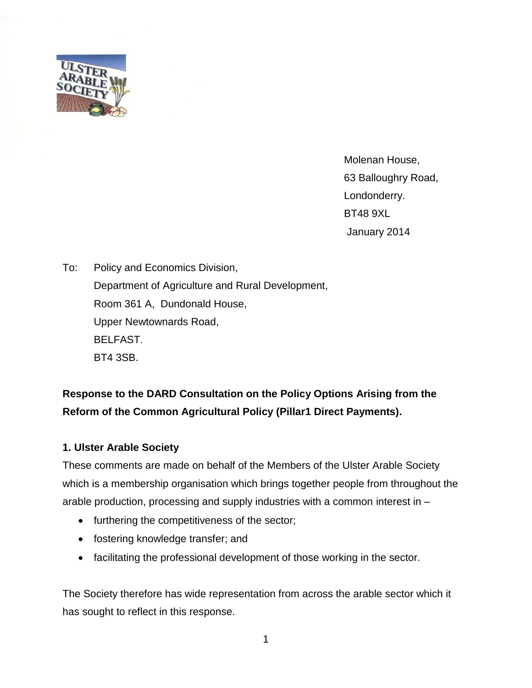

Molenan House, 63 Balloughry Road, Londonderry. BT48 9XL January 2014

To: Policy and Economics Division, Department of Agriculture and Rural Development, Room 361 A, Dundonald House, Upper Newtownards Road, BELFAST. BT4 3SB.

# **Response to the DARD Consultation on the Policy Options Arising from the Reform of the Common Agricultural Policy (Pillar1 Direct Payments).**

## **1. Ulster Arable Society**

These comments are made on behalf of the Members of the Ulster Arable Society which is a membership organisation which brings together people from throughout the arable production, processing and supply industries with a common interest in –

- furthering the competitiveness of the sector;
- fostering knowledge transfer; and
- facilitating the professional development of those working in the sector.

The Society therefore has wide representation from across the arable sector which it has sought to reflect in this response.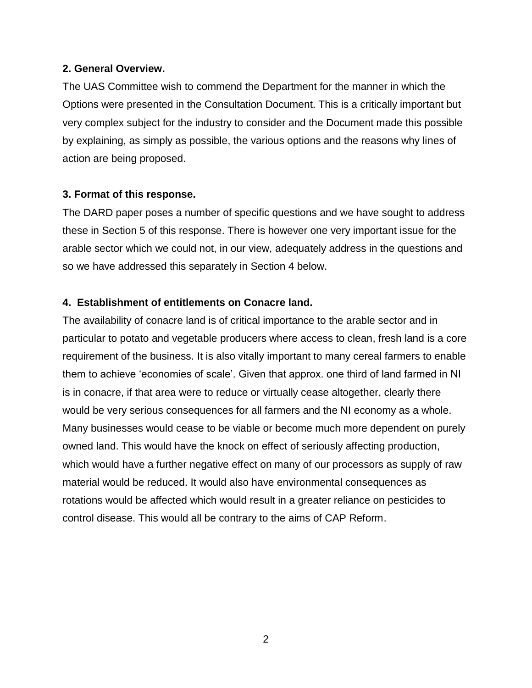#### **2. General Overview.**

The UAS Committee wish to commend the Department for the manner in which the Options were presented in the Consultation Document. This is a critically important but very complex subject for the industry to consider and the Document made this possible by explaining, as simply as possible, the various options and the reasons why lines of action are being proposed.

## **3. Format of this response.**

The DARD paper poses a number of specific questions and we have sought to address these in Section 5 of this response. There is however one very important issue for the arable sector which we could not, in our view, adequately address in the questions and so we have addressed this separately in Section 4 below.

## **4. Establishment of entitlements on Conacre land.**

The availability of conacre land is of critical importance to the arable sector and in particular to potato and vegetable producers where access to clean, fresh land is a core requirement of the business. It is also vitally important to many cereal farmers to enable them to achieve 'economies of scale'. Given that approx. one third of land farmed in NI is in conacre, if that area were to reduce or virtually cease altogether, clearly there would be very serious consequences for all farmers and the NI economy as a whole. Many businesses would cease to be viable or become much more dependent on purely owned land. This would have the knock on effect of seriously affecting production, which would have a further negative effect on many of our processors as supply of raw material would be reduced. It would also have environmental consequences as rotations would be affected which would result in a greater reliance on pesticides to control disease. This would all be contrary to the aims of CAP Reform.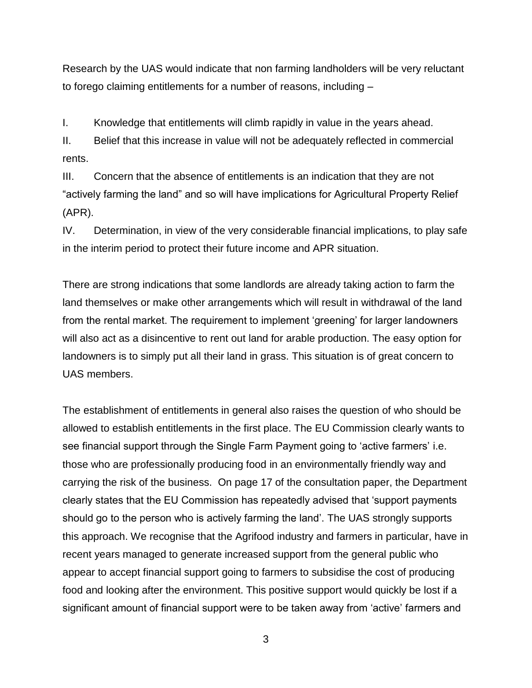Research by the UAS would indicate that non farming landholders will be very reluctant to forego claiming entitlements for a number of reasons, including –

I. Knowledge that entitlements will climb rapidly in value in the years ahead.

II. Belief that this increase in value will not be adequately reflected in commercial rents.

III. Concern that the absence of entitlements is an indication that they are not "actively farming the land" and so will have implications for Agricultural Property Relief (APR).

IV. Determination, in view of the very considerable financial implications, to play safe in the interim period to protect their future income and APR situation.

There are strong indications that some landlords are already taking action to farm the land themselves or make other arrangements which will result in withdrawal of the land from the rental market. The requirement to implement 'greening' for larger landowners will also act as a disincentive to rent out land for arable production. The easy option for landowners is to simply put all their land in grass. This situation is of great concern to UAS members.

The establishment of entitlements in general also raises the question of who should be allowed to establish entitlements in the first place. The EU Commission clearly wants to see financial support through the Single Farm Payment going to 'active farmers' i.e. those who are professionally producing food in an environmentally friendly way and carrying the risk of the business. On page 17 of the consultation paper, the Department clearly states that the EU Commission has repeatedly advised that 'support payments should go to the person who is actively farming the land'. The UAS strongly supports this approach. We recognise that the Agrifood industry and farmers in particular, have in recent years managed to generate increased support from the general public who appear to accept financial support going to farmers to subsidise the cost of producing food and looking after the environment. This positive support would quickly be lost if a significant amount of financial support were to be taken away from 'active' farmers and

3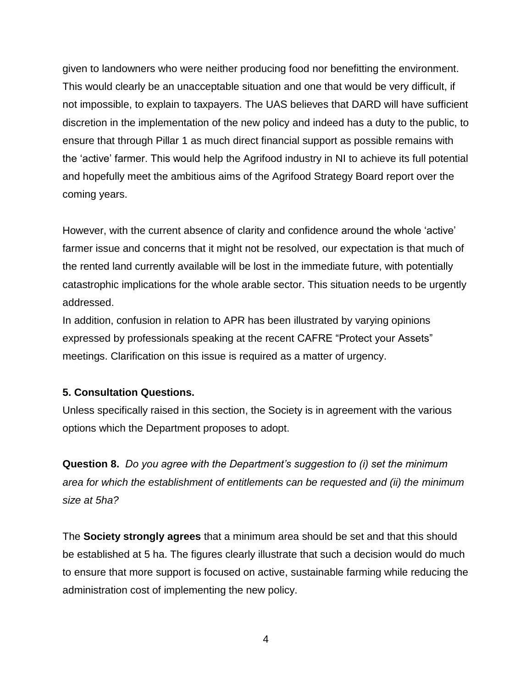given to landowners who were neither producing food nor benefitting the environment. This would clearly be an unacceptable situation and one that would be very difficult, if not impossible, to explain to taxpayers. The UAS believes that DARD will have sufficient discretion in the implementation of the new policy and indeed has a duty to the public, to ensure that through Pillar 1 as much direct financial support as possible remains with the 'active' farmer. This would help the Agrifood industry in NI to achieve its full potential and hopefully meet the ambitious aims of the Agrifood Strategy Board report over the coming years.

However, with the current absence of clarity and confidence around the whole 'active' farmer issue and concerns that it might not be resolved, our expectation is that much of the rented land currently available will be lost in the immediate future, with potentially catastrophic implications for the whole arable sector. This situation needs to be urgently addressed.

In addition, confusion in relation to APR has been illustrated by varying opinions expressed by professionals speaking at the recent CAFRE "Protect your Assets" meetings. Clarification on this issue is required as a matter of urgency.

#### **5. Consultation Questions.**

Unless specifically raised in this section, the Society is in agreement with the various options which the Department proposes to adopt.

**Question 8.** *Do you agree with the Department's suggestion to (i) set the minimum area for which the establishment of entitlements can be requested and (ii) the minimum size at 5ha?*

The **Society strongly agrees** that a minimum area should be set and that this should be established at 5 ha. The figures clearly illustrate that such a decision would do much to ensure that more support is focused on active, sustainable farming while reducing the administration cost of implementing the new policy.

4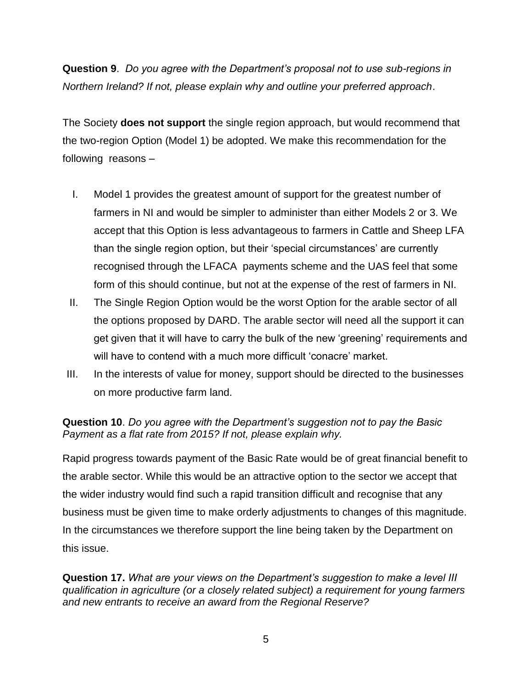**Question 9**. *Do you agree with the Department's proposal not to use sub-regions in Northern Ireland? If not, please explain why and outline your preferred approach*.

The Society **does not support** the single region approach, but would recommend that the two-region Option (Model 1) be adopted. We make this recommendation for the following reasons –

- I. Model 1 provides the greatest amount of support for the greatest number of farmers in NI and would be simpler to administer than either Models 2 or 3. We accept that this Option is less advantageous to farmers in Cattle and Sheep LFA than the single region option, but their 'special circumstances' are currently recognised through the LFACA payments scheme and the UAS feel that some form of this should continue, but not at the expense of the rest of farmers in NI.
- II. The Single Region Option would be the worst Option for the arable sector of all the options proposed by DARD. The arable sector will need all the support it can get given that it will have to carry the bulk of the new 'greening' requirements and will have to contend with a much more difficult 'conacre' market.
- III. In the interests of value for money, support should be directed to the businesses on more productive farm land.

# **Question 10**. *Do you agree with the Department's suggestion not to pay the Basic Payment as a flat rate from 2015? If not, please explain why.*

Rapid progress towards payment of the Basic Rate would be of great financial benefit to the arable sector. While this would be an attractive option to the sector we accept that the wider industry would find such a rapid transition difficult and recognise that any business must be given time to make orderly adjustments to changes of this magnitude. In the circumstances we therefore support the line being taken by the Department on this issue.

**Question 17.** *What are your views on the Department's suggestion to make a level III qualification in agriculture (or a closely related subject) a requirement for young farmers and new entrants to receive an award from the Regional Reserve?*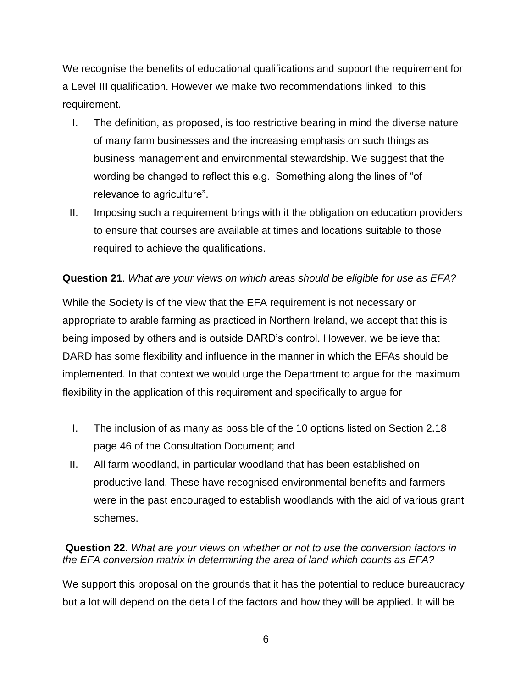We recognise the benefits of educational qualifications and support the requirement for a Level III qualification. However we make two recommendations linked to this requirement.

- I. The definition, as proposed, is too restrictive bearing in mind the diverse nature of many farm businesses and the increasing emphasis on such things as business management and environmental stewardship. We suggest that the wording be changed to reflect this e.g. Something along the lines of "of relevance to agriculture".
- II. Imposing such a requirement brings with it the obligation on education providers to ensure that courses are available at times and locations suitable to those required to achieve the qualifications.

# **Question 21**. *What are your views on which areas should be eligible for use as EFA?*

While the Society is of the view that the EFA requirement is not necessary or appropriate to arable farming as practiced in Northern Ireland, we accept that this is being imposed by others and is outside DARD's control. However, we believe that DARD has some flexibility and influence in the manner in which the EFAs should be implemented. In that context we would urge the Department to argue for the maximum flexibility in the application of this requirement and specifically to argue for

- I. The inclusion of as many as possible of the 10 options listed on Section 2.18 page 46 of the Consultation Document; and
- II. All farm woodland, in particular woodland that has been established on productive land. These have recognised environmental benefits and farmers were in the past encouraged to establish woodlands with the aid of various grant schemes.

## **Question 22**. *What are your views on whether or not to use the conversion factors in the EFA conversion matrix in determining the area of land which counts as EFA?*

We support this proposal on the grounds that it has the potential to reduce bureaucracy but a lot will depend on the detail of the factors and how they will be applied. It will be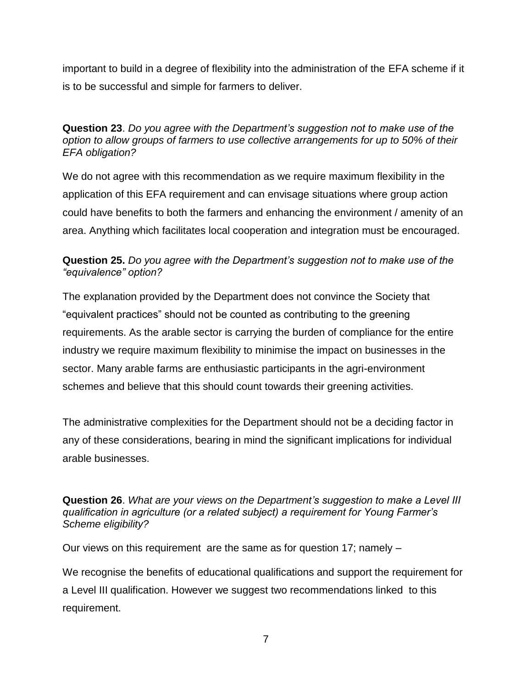important to build in a degree of flexibility into the administration of the EFA scheme if it is to be successful and simple for farmers to deliver.

## **Question 23**. *Do you agree with the Department's suggestion not to make use of the option to allow groups of farmers to use collective arrangements for up to 50% of their EFA obligation?*

We do not agree with this recommendation as we require maximum flexibility in the application of this EFA requirement and can envisage situations where group action could have benefits to both the farmers and enhancing the environment / amenity of an area. Anything which facilitates local cooperation and integration must be encouraged.

# **Question 25.** *Do you agree with the Department's suggestion not to make use of the "equivalence" option?*

The explanation provided by the Department does not convince the Society that "equivalent practices" should not be counted as contributing to the greening requirements. As the arable sector is carrying the burden of compliance for the entire industry we require maximum flexibility to minimise the impact on businesses in the sector. Many arable farms are enthusiastic participants in the agri-environment schemes and believe that this should count towards their greening activities.

The administrative complexities for the Department should not be a deciding factor in any of these considerations, bearing in mind the significant implications for individual arable businesses.

#### **Question 26**. *What are your views on the Department's suggestion to make a Level III qualification in agriculture (or a related subject) a requirement for Young Farmer's Scheme eligibility?*

Our views on this requirement are the same as for question 17; namely –

We recognise the benefits of educational qualifications and support the requirement for a Level III qualification. However we suggest two recommendations linked to this requirement.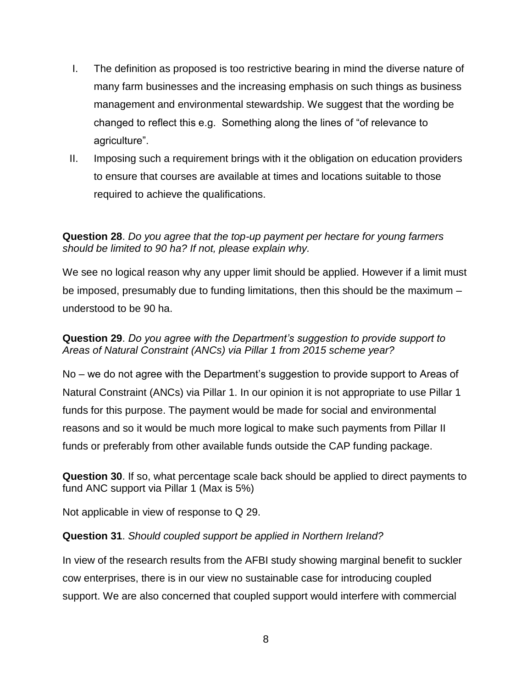- I. The definition as proposed is too restrictive bearing in mind the diverse nature of many farm businesses and the increasing emphasis on such things as business management and environmental stewardship. We suggest that the wording be changed to reflect this e.g. Something along the lines of "of relevance to agriculture".
- II. Imposing such a requirement brings with it the obligation on education providers to ensure that courses are available at times and locations suitable to those required to achieve the qualifications.

# **Question 28**. *Do you agree that the top-up payment per hectare for young farmers should be limited to 90 ha? If not, please explain why.*

We see no logical reason why any upper limit should be applied. However if a limit must be imposed, presumably due to funding limitations, then this should be the maximum – understood to be 90 ha.

## **Question 29**. *Do you agree with the Department's suggestion to provide support to Areas of Natural Constraint (ANCs) via Pillar 1 from 2015 scheme year?*

No – we do not agree with the Department's suggestion to provide support to Areas of Natural Constraint (ANCs) via Pillar 1. In our opinion it is not appropriate to use Pillar 1 funds for this purpose. The payment would be made for social and environmental reasons and so it would be much more logical to make such payments from Pillar II funds or preferably from other available funds outside the CAP funding package.

**Question 30**. If so, what percentage scale back should be applied to direct payments to fund ANC support via Pillar 1 (Max is 5%)

Not applicable in view of response to Q 29.

## **Question 31**. *Should coupled support be applied in Northern Ireland?*

In view of the research results from the AFBI study showing marginal benefit to suckler cow enterprises, there is in our view no sustainable case for introducing coupled support. We are also concerned that coupled support would interfere with commercial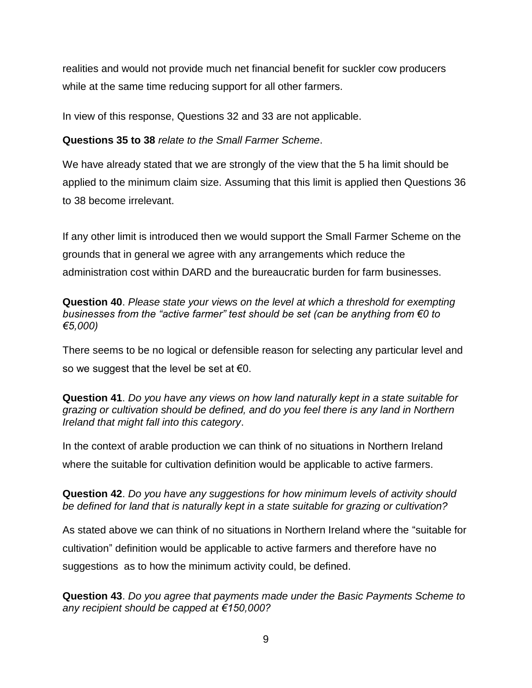realities and would not provide much net financial benefit for suckler cow producers while at the same time reducing support for all other farmers.

In view of this response, Questions 32 and 33 are not applicable.

**Questions 35 to 38** *relate to the Small Farmer Scheme*.

We have already stated that we are strongly of the view that the 5 ha limit should be applied to the minimum claim size. Assuming that this limit is applied then Questions 36 to 38 become irrelevant.

If any other limit is introduced then we would support the Small Farmer Scheme on the grounds that in general we agree with any arrangements which reduce the administration cost within DARD and the bureaucratic burden for farm businesses.

**Question 40**. *Please state your views on the level at which a threshold for exempting businesses from the "active farmer" test should be set (can be anything from €0 to €5,000)*

There seems to be no logical or defensible reason for selecting any particular level and so we suggest that the level be set at  $\epsilon 0$ .

**Question 41**. *Do you have any views on how land naturally kept in a state suitable for grazing or cultivation should be defined, and do you feel there is any land in Northern Ireland that might fall into this category*.

In the context of arable production we can think of no situations in Northern Ireland where the suitable for cultivation definition would be applicable to active farmers.

**Question 42**. *Do you have any suggestions for how minimum levels of activity should be defined for land that is naturally kept in a state suitable for grazing or cultivation?*

As stated above we can think of no situations in Northern Ireland where the "suitable for cultivation" definition would be applicable to active farmers and therefore have no suggestions as to how the minimum activity could, be defined.

**Question 43**. *Do you agree that payments made under the Basic Payments Scheme to any recipient should be capped at €150,000?*